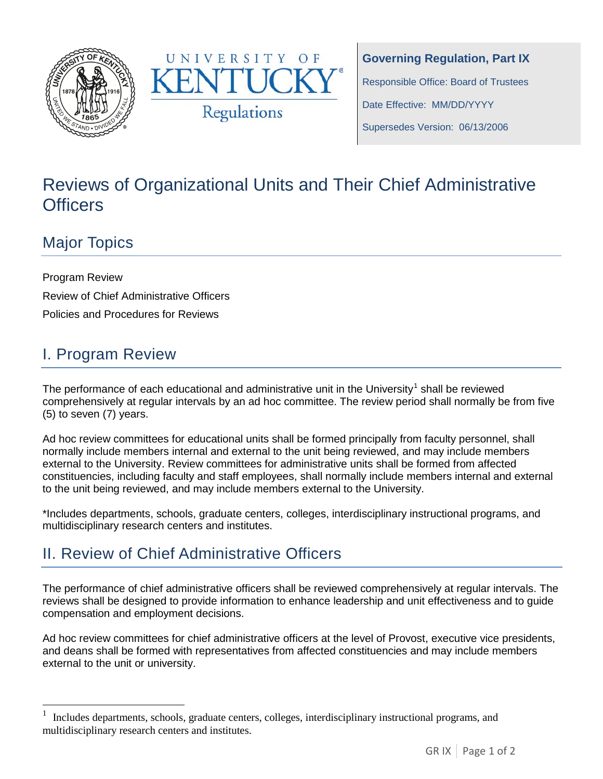



**Governing Regulation, Part IX** Responsible Office: Board of Trustees Date Effective: MM/DD/YYYY Supersedes Version: 06/13/2006

# Reviews of Organizational Units and Their Chief Administrative **Officers**

### Major Topics

Program Review Review of Chief Administrative Officers Policies and Procedures for Reviews

# I. Program Review

The performance of each educational and administrative unit in the University<sup>[1](#page-0-0)</sup> shall be reviewed comprehensively at regular intervals by an ad hoc committee. The review period shall normally be from five (5) to seven (7) years.

Ad hoc review committees for educational units shall be formed principally from faculty personnel, shall normally include members internal and external to the unit being reviewed, and may include members external to the University. Review committees for administrative units shall be formed from affected constituencies, including faculty and staff employees, shall normally include members internal and external to the unit being reviewed, and may include members external to the University.

\*Includes departments, schools, graduate centers, colleges, interdisciplinary instructional programs, and multidisciplinary research centers and institutes.

## II. Review of Chief Administrative Officers

The performance of chief administrative officers shall be reviewed comprehensively at regular intervals. The reviews shall be designed to provide information to enhance leadership and unit effectiveness and to guide compensation and employment decisions.

Ad hoc review committees for chief administrative officers at the level of Provost, executive vice presidents, and deans shall be formed with representatives from affected constituencies and may include members external to the unit or university.

<span id="page-0-0"></span><sup>1</sup> Includes departments, schools, graduate centers, colleges, interdisciplinary instructional programs, and multidisciplinary research centers and institutes.